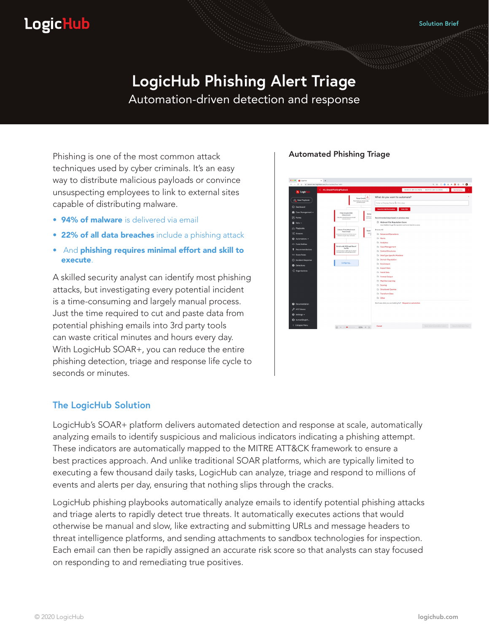## **LogicHub**

# **LogicHub Phishing Alert Triage**

Automation-driven detection and response

Phishing is one of the most common attack techniques used by cyber criminals. It's an easy way to distribute malicious payloads or convince unsuspecting employees to link to external sites capable of distributing malware.

- 94% of malware is delivered via email
- 22% of all data breaches include a phishing attack
- And phishing requires minimal effort and skill to execute.

A skilled security analyst can identify most phishing attacks, but investigating every potential incident is a time-consuming and largely manual process. Just the time required to cut and paste data from potential phishing emails into 3rd party tools can waste critical minutes and hours every day. With LogicHub SOAR+, you can reduce the entire phishing detection, triage and response life cycle to seconds or minutes.

#### Automated Phishing Triage



#### **The LogicHub Solution**

LogicHub's SOAR+ platform delivers automated detection and response at scale, automatically analyzing emails to identify suspicious and malicious indicators indicating a phishing attempt. These indicators are automatically mapped to the MITRE ATT&CK framework to ensure a best practices approach. And unlike traditional SOAR platforms, which are typically limited to executing a few thousand daily tasks, LogicHub can analyze, triage and respond to millions of events and alerts per day, ensuring that nothing slips through the cracks.

LogicHub phishing playbooks automatically analyze emails to identify potential phishing attacks and triage alerts to rapidly detect true threats. It automatically executes actions that would otherwise be manual and slow, like extracting and submitting URLs and message headers to threat intelligence platforms, and sending attachments to sandbox technologies for inspection. Each email can then be rapidly assigned an accurate risk score so that analysts can stay focused on responding to and remediating true positives.